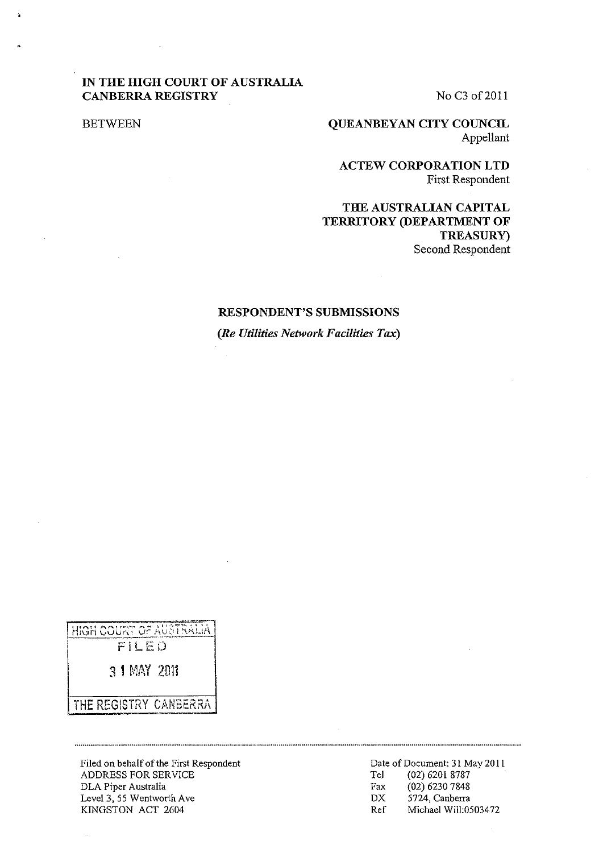# **IN THE HIGH COURT OF AUSTRALIA CANBERRA REGISTRY**

No C<sub>3</sub> of 2011

BETWEEN

**QUEANBEYAN CITY COUNCIL**  Appellant

**ACTEW CORPORATION LTD**  First Respondent

**THE AUSTRALIAN CAPITAL TERRITORY (DEPARTMENT OF TREASURy)**  Second Respondent

#### **RESPONDENT'S SUBMISSIONS**

*(Re Utilities Network Facilities Tax)* 

HIGH COURT OF AUSTRALIA

 $FILED$ 

3 1 MAY 2011

THE REGISTRY CANBERRA

 $\ddot{\phantom{a}}$ 

Filed on behalf of the First Respondent ADDRESS FOR SERVICE DLA Piper Australia Level 3, 55 Wentworth Ave KINGSTON ACT 2604

Date of Document: 31 May **2011**  Te] (02) 6201 8787 Fax (02) 6230 7848 DX 5724, Canberra Ref Michael WilI:0503472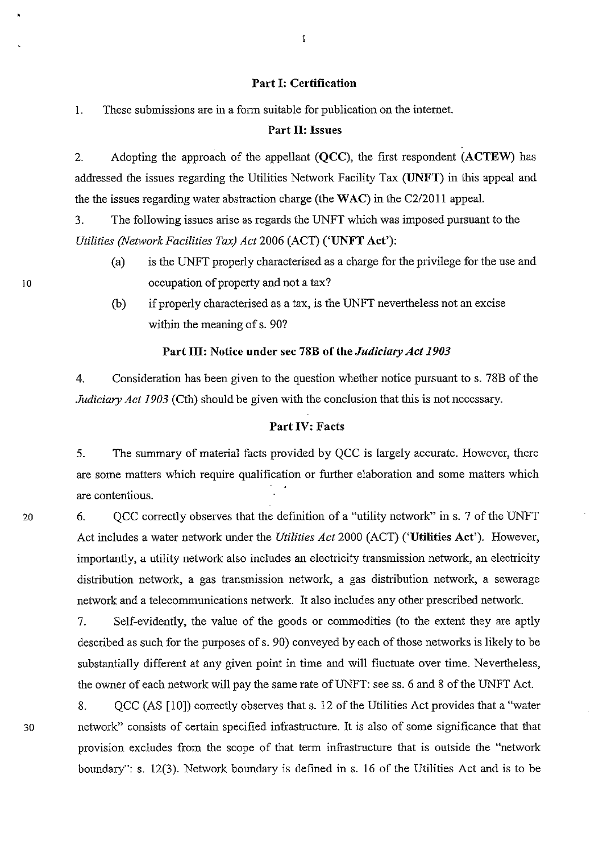#### Part I: Certification

1. These submissions are in a form suitable for publication on the intemet.

## Part 11: Issues

2. Adopting the approach of the appellant (QCC), the first respondent (ACTEW) has addressed the issues regarding the Utilities Network Facility Tax (UNFT) in this appeal and the the issues regarding water abstraction charge (the WAC) in the C2/2011 appeal.

3. The following issues arise as regards the UNFT which was imposed pursuant to the *Utilities (Network Facilities Tax) Act* 2006 (ACT) ('UNFT Act'):

- (a) is the UNFT properly characterised as a charge for the privilege for the use and occupation of property and not a tax?
- (b) if properly characterised as a tax, is the UNFT nevertheless not an excise within the meaning of s. 90?

#### Part III: Notice under sec 78B of the *Judiciary Act 1903*

4. Consideration has been given to the question whether notice pursuant to s. 78B of the *Judiciary Act 1903* (Cth) should be given with the conclusion that this is not necessary.

# Part IV: Facts

5. The summary of material facts provided by QCC is largely accurate. However, there are some matters which require qualification or further elaboration and some matters which are contentious.

20 6. QCC correctly observes that the definition of a "utility network" in s. 7 of the UNFT Act includes a water network under the *Utilities Act* 2000 (ACT) ('Utilities Act'). However, importantly, a utility network also includes an electricity transmission network, an electricity distribution network, a gas transmission network, a gas distribution network, a sewerage network and a telecommunications network. It also includes any other prescribed network.

> 7. Self-evidently, the value of the goods or commodities (to the extent they are aptly described as such for the purposes of s. 90) conveyed by each of those networks is likely to be substantially different at any given point in time and will fluctuate over time. Nevertheless, the owner of each network will pay the same rate of UNFT: see ss. 6 and 8 of the UNFT Act.

8. QCC (AS [10]) correctly observes that s. 12 of the Utilities Act provides that a "water 30 network" consists of certain specified infrastructure. It is also of some significance that that provision excludes from the scope of that term infrastructure that is outside the "network boundary": s. 12(3). Network boundary is defined in s. 16 of the Utilities Act and is to be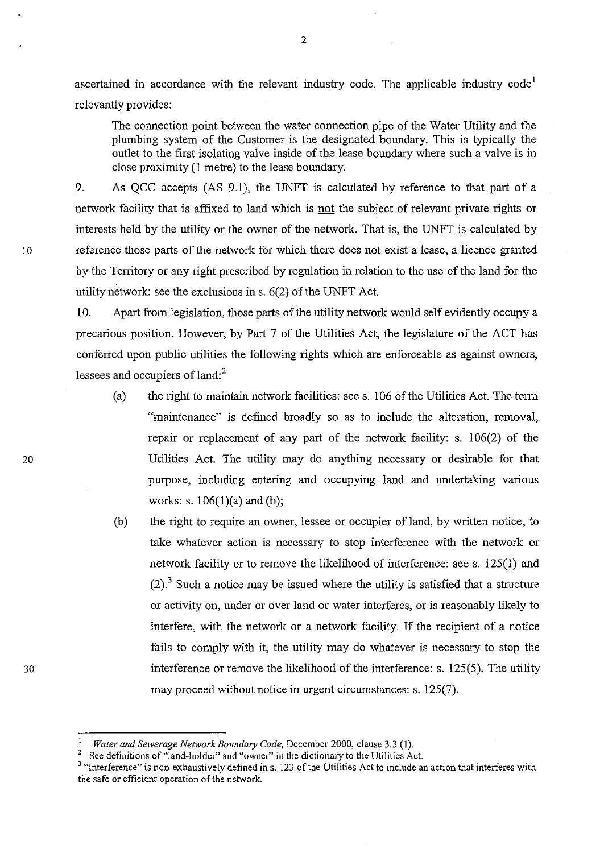ascertained in accordance with the relevant industry code. The applicable industry code<sup>1</sup> relevantly provides:

The connection point between the water connection pipe of the Water Utility and the plumbing system of the Customer is the designated boundary. This is typically the outlet to the first isolating valve inside of the lease boundary where such a valve is in close proximity (1 metre) to the lease boundary.

9. As QCC accepts (AS 9.1), the UNFT is calculated by reference to that part of a network facility that is affixed to land which is not the subject of relevant private rights or interests held by the utility or the owner of the network. That is, the UNFT is calculated by 10 reference those parts of the network for which there does not exist a lease, a licence granted by the Territory or any right prescribed by regulation in relation to the use of the land for the utility network: see the exclusions in s. 6(2) of the UNFT Act.

> 10. Apart from legislation, those parts of the utility network would self evidently occupy a precarious position. However, by Part 7 of the Utilities Act, the legislature of the ACT has conferred upon public utilities the following rights which are enforceable as against owners, lessees and occupiers of land:<sup>2</sup>

- (a) the right to maintain network facilities: see s. 106 of the Utilities Act. The term "maintenance" is defined broadly so as to include the alteration, removal, repair or replacement of any part of the network facility: s. 106(2) of the Utilities Act. The utility may do anything necessary or desirable for that purpose, including entering and occupying land and undertaking various works: s. 106(1)(a) and (b);
- (b) the right to require an owner, lessee or occupier ofland, by written notice, to take whatever action is necessary to stop interference with the network or network facility or to remove the likelihood of interference: see s. 125(1) and  $(2)$ .<sup>3</sup> Such a notice may be issued where the utility is satisfied that a structure or activity on, under or over land or water interferes, or is reasonably likely to interfere, with the network or a network facility. If the recipient of a notice fails to comply with it, the utility may do whatever is necessary to stop the interference or remove the likelihood of the interference: s. 125(5). The utility may proceed without notice in urgent circumstances: s. 125(7).

Water and Sewerage Network Boundary Code, December 2000, clause 3.3 (1).

<sup>&</sup>lt;sup>2</sup> See definitions of "land-holder" and "owner" in the dictionary to the Utilities Act.

<sup>3</sup>**"Interference" is non-exhaustively defined in s. 123** of the **Utilities Act to include an action that interferes with the safe or efficient operation of the network.**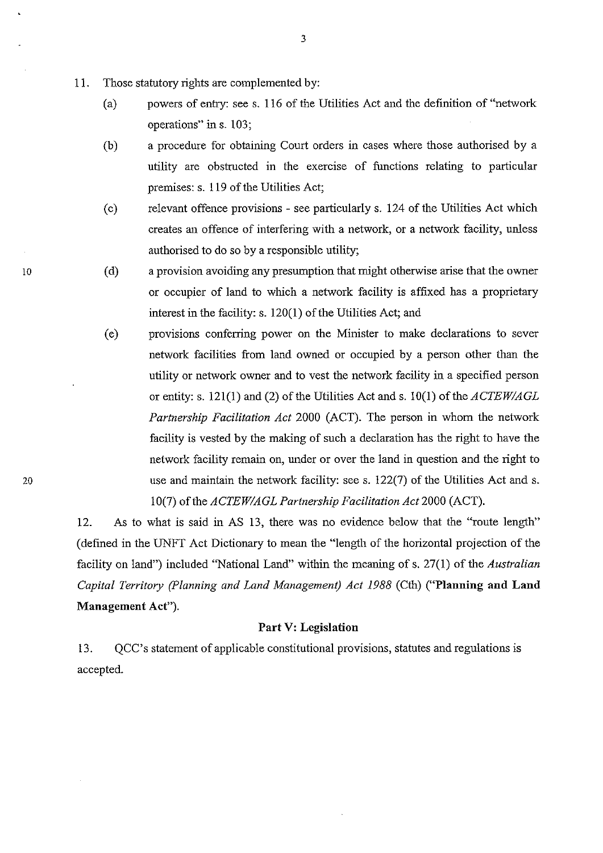- 11. Those statutory rights are complemented by:
	- (a) powers of entry: see s. 116 of the Utilities Act and the definition of "network operations" in s. 103;
	- (b) a procedure for obtaining Court orders in cases where those authorised by a utility are obstructed in the exercise of functions relating to particular premises: s. 119 of the Utilities Act;
	- (c) relevant offence provisions see particularly s. 124 of the Utilities Act which creates an offence of interfering with a network, or a network facility, unless authorised to do so by a responsible utility;
	- (d) a provision avoiding any presumption that might otherwise arise that the owner or occupier of land to which a network facility is affixed has a proprietary interest in the facility: s. 120(1) of the Utilities Act; and
	- (e) provisions conferring power on the Minister to make declarations to sever network facilities from land owned or occupied by a person other than the utility or network owner and to vest the network facility in a specified person or entity: s. 121(1) and (2) of the Utilities Act and s. 10(1) of the *ACTEWIAGL Partnership Facilitation Act* 2000 (ACT). The person in whom the network facility is vested by the making of such a declaration has the right to have the network facility remain on, under or over the land in question and the right to use and maintain the network facility: see s. 122(7) of the Utilities Act and s. 10(7) of the *ACTEW/AGL Partnership Facilitation Act* 2000 (ACT).

12. As to what is said in AS 13, there was no evidence below that the "route length" (defined in the UNFT Act Dictionary to mean the "length of the horizontal projection of the facility on land") included "National Land" within the meaning of s. 27(1) of the *Australian Capital Territory (planning and Land Management) Act* 1988 (Cth) ("Planning **and Land**  Management Act").

## Part V: Legislation

13. QCC's statement of applicable constitutional provisions, statutes and regulations is accepted.

10

 $\mathcal{L}$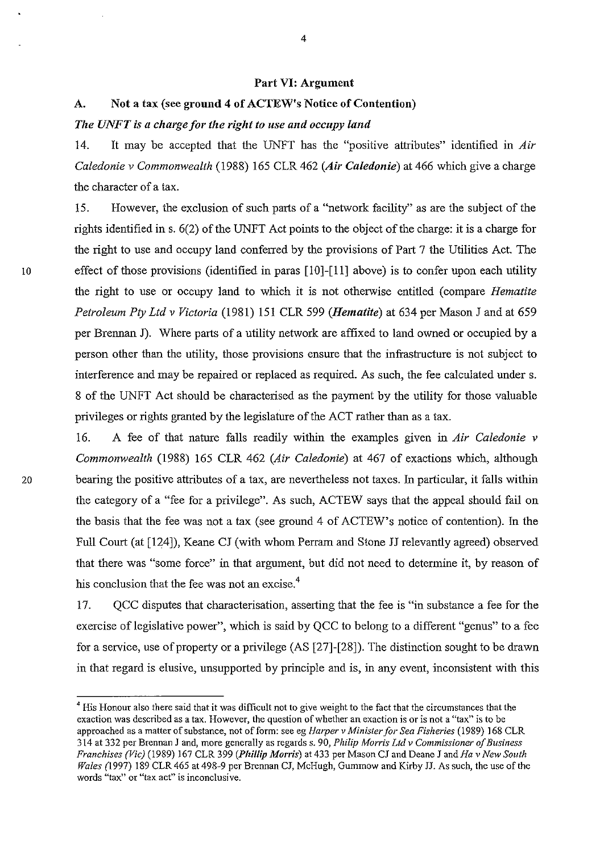#### Part VI: Argument

# A. Not a tax (see ground 4 of ACTEW's Notice of Contention)

## *The UNFT is a charge for the right to use and occupy land*

14. It may be accepted that the UNFT has the "positive attributes" identified in *Air Caledonie* v *Commonwealth* (1988) 165 CLR462 *(Air Caledonie)* at 466 which give a charge the character of a tax.

15. However, the exclusion of such parts of a "network facility" as are the subject of the rights identified in s. 6(2) of the UNFT Act points to the object of the charge: it is a charge for the right to use and occupy land conferred by the provisions of Part 7 the Utilities Act. The 10 effect of those provisions (identified in paras [10]-[11] above) is to confer upon each utility the right to use or occupy land to which it is not otherwise entitled (compare *Hematite Petroleum Pty Ltd* v *Victoria* (1981) 151 CLR 599 *(Hematite)* at 634 per Mason J and at 659 per Brennan J). Where parts of a utility network are affixed to land owned or occupied by a person other than the utility, those provisions ensure that the infrastructure is not subject to interference and may be repaired or replaced as required. As such, the fee calculated under s. 8 of the UNFT Act should be characterised as the payment by the utility for those valuable privileges or rights granted by the legislature of the ACT rather than as a tax.

16. A fee of that nature falls readily within the examples given in *Air Caledonie* v *Commonwealth* (1988) 165 CLR 462 *(Air Caledonie)* at 467 of exactions which, although 20 bearing the positive attributes of a tax, are nevertheless not taxes. In particular, it falls within the category of a "fee for a privilege". As such, ACTEW says that the appeal should fail on the basis that the fee was not a tax (see ground 4 of ACTEW's notice of contention). In the Full Court (at [124]), Keane CJ (with whom Perram and Stone JJ relevantly agreed) observed that there was "some force" in that argument, but did not need to determine it, by reason of his conclusion that the fee was not an excise.<sup>4</sup>

> 17. QCC disputes that characterisation, asserting that the fee is "in substance a fee for the exercise of legislative power", which is said by QCC to belong to a different "genus" to a fee for a service, use of property or a privilege (AS [27]-[28]). The distinction sought to be drawn in that regard is elusive, unsupported by principle and is, in any event, inconsistent with this

<sup>&</sup>lt;sup>4</sup> His Honour also there said that it was difficult not to give weight to the fact that the circumstances that the exaction was described as a tax. However, the question of whether an exaction is or is not a "tax" is to be approached as a matter of substance, not of form: see eg *Harper v Minister for Sea Fisheries* (1989) 168 CLR 314 at 332 per Brennan ] and, more generally as regards s. 90, *Philip Morris Lld* v *Commissioner of Business Franchises (Vic)* (1989) 167 CLR 399 *(Phillip Morris)* at 433 per Mason CJ and Deane J and *Ha* v *New South Wales* (1997) 189 CLR 465 at 498-9 per Brennan CJ, McHugh, Gummow and Kirby JJ. As such, the use of the words "tax" or "tax act" is inconclusive.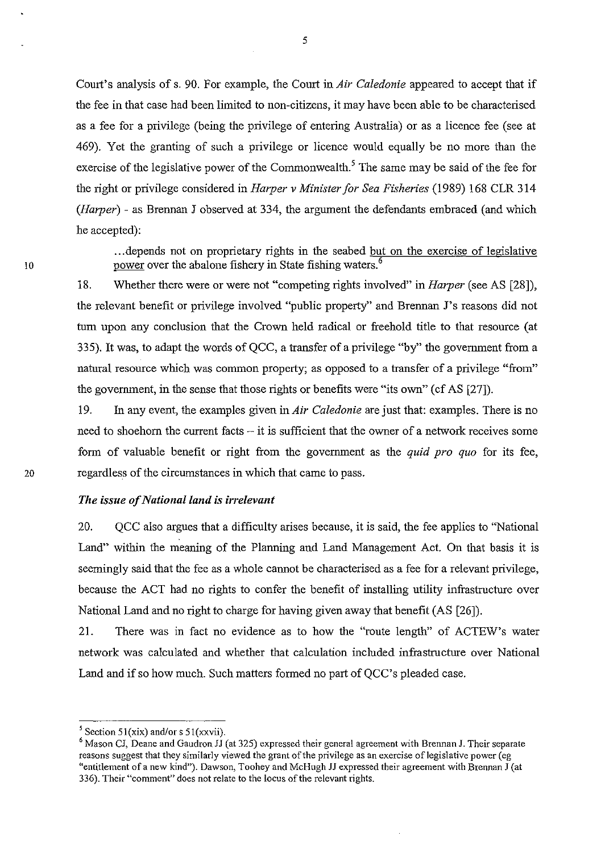Court's analysis of s. 90. For example, the Court in *Air Caledonie* appeared to accept that if the fee in that case had been limited to non-citizens, it may have been able to be characterised as a fee for a privilege (being the privilege of entering Australia) or as a licence fee (see at 469). Yet the granting of such a privilege or licence would equally be no more than the exercise of the legislative power of the Commonwealth.<sup>5</sup> The same may be said of the fee for the right or privilege considered in *Harper* v *Minister for Sea Fisheries* (1989) 168 CLR 314 *(Harper)* - as Brennan J observed at 334, the argument the defendants embraced (and which he accepted):

... depends not on proprietary rights in the seabed but on the exercise of legislative power over the abalone fishery in State fishing waters.<sup>6</sup>

18. Whether there were or were not "competing rights involved" in *Harper* (see AS [28]), the relevant benefit or privilege involved "public property" and Brennan J's reasons did not turn upon any conclusion that the Crown held radical or freehold title to that resource (at 335). It was, to adapt the words of QCC, a transfer of a privilege "by" the government from a natural resource which was common property; as opposed to a transfer of a privilege "from" the government, in the sense that those rights or benefits were "its own" (cf AS [27]).

19. In any event, the examples given in *Air Caledonie* are just that: examples. There is no need to shoehorn the current facts – it is sufficient that the owner of a network receives some fonn of valuable benefit or right from the government as the *quid pro quo* for its fee, 20 regardless of the circumstances in which that came to pass.

#### *The issue of National land is irrelevant*

20. QCC also argues that a difficulty arises because, it is said, the fee applies to "National Land" within the meaning of the Planning and Land Management Act. On that basis it is seemingly said that the fee as a whole cannot be characterised as a fee for a relevant privilege, because the ACT had no rights to confer the benefit of installing utility infrastructure over National Land and no right to charge for having given away that benefit (AS [26]).

21. There was in fact no evidence as to how the "route length" of ACTEW's water network was calculated and whether that calculation included infrastructure over National Land and if so how much. Such matters formed no part of QCC's pleaded case.

<sup>&</sup>lt;sup>5</sup> Section 51(xix) and/or s 51(xxvii).

<sup>&</sup>lt;sup>6</sup> Mason CJ, Deane and Gaudron JJ (at 325) expressed their general agreement with Brennan J. Their separate **reaSons suggest that they similar1y viewed the grant** of the **privilege as an exercise** of legislative **power (eg**  "entitlement of a new kind"). Dawson, Toohey and McHugh JJ expressed their agreement with Brennan J (at 336). Their "comment" does not relate to the locus of the relevant rights.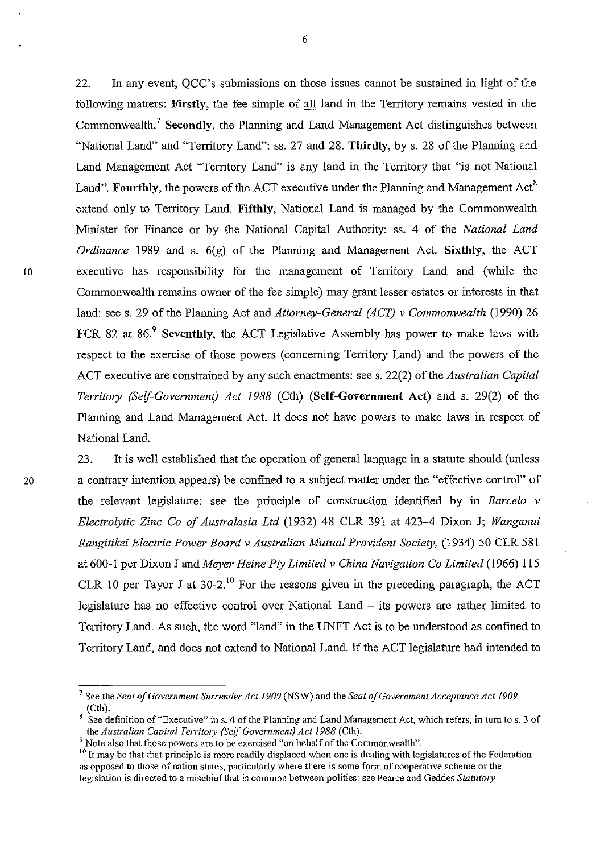22. In any event, QCC's submissions on those issues cannot be sustained in light of the following matters: Firstly, the fee simple of all land in the Territory remains vested in the Commonwealth.' Secondly, the Planning and Land Management Act distinguishes between "National Land" and "Territory Land": ss. 27 and 28. Thirdly, by s. 28 of the Planning and Land Management Act "Territory Land" is any land in the Territory that "is not National Land". Fourthly, the powers of the ACT executive under the Planning and Management  $Act^8$ extend only to Territory Land. Fifthly, National Land is managed by the Commonwealth Minister for Finance or by the National Capital Authority: ss. 4 of the *National Land Ordinance* 1989 and s.  $6(g)$  of the Planning and Management Act. Sixthly, the ACT 10 executive has responsibility for the management of Territory Land and (while the Commonwealth remains owner of the fee simple) may grant lesser estates or interests in that land: see s. 29 of the Planning Act and *Attorney-General (ACT)* v *Commonwealth* (1990) 26 FCR 82 at  $86.9$  Seventhly, the ACT Legislative Assembly has power to make laws with respect to the exercise of those powers (concerning Territory Land) and the powers of the ACT executive are constrained by any such enactrnents: see s. 22(2) of the *Australian Capital Territory (Self-Government) Act* 1988 (Cth) (Self-Government Act) and s. 29(2) of the Planning and Land Management Act. It does not have powers to make laws in respect of National Land.

23. It is well established that the operation of general language in a statute should (unless 20 a contrary intention appears) be confined to a subject matter under the "effective control" of the relevant legislature: see the principle of construction identified by in *Barcelo* v *Electrolytic Zinc* Co *of Australasia Ltd* (1932) 48 CLR 391 at 423-4 Dixon J; *Wanganui Rangitikei Electric Power Board* v *Australian Mutual Provident Society,* (1934) 50 CLR 581 at 600-1 per Dixon J and *Meyer Heine Pty Limited* v *China Navigation* Co *Limited* (1966) 115 CLR 10 per Tayor J at  $30-2$ .<sup>10</sup> For the reasons given in the preceding paragraph, the ACT legislature has no effective control over National Land  $-$  its powers are rather limited to Territory Land. As such, the word "land" in the UNFT Act is to be understood as confined to Territory Land, and does not extend to National Land. If the ACT legislature had intended to

<sup>7</sup> See the *Seat of Government Surrender Act 1909* (NSW) and the *Seat of Government Acceptance Act 1909*  (Cth).

<sup>8</sup> See definition of "Executive" in s. 4 of the Planning and Land Management Act, which refers, in turn to s. 3 of the *Australian Capital Territory (Self-Government) Act 1988* (Cth).

<sup>&</sup>lt;sup>9</sup> Note also that those powers are to be exercised "on behalf of the Commonwealth".

<sup>&</sup>lt;sup>10</sup> It may be that that principle is more readily displaced when one is dealing with legislatures of the Federation as opposed to those of nation states, particularly where there is some form of cooperative scheme or the legislation is directed to a mischief that is common between polities: see Pearce and Geddes *Statutory*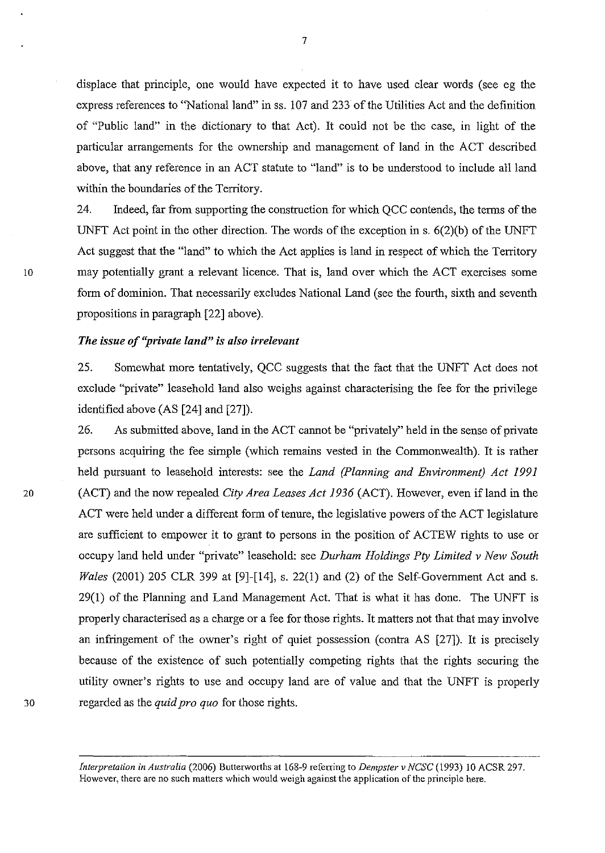displace that principle, one would have expected it to have used clear words (see eg the express references to "National land" in ss. 107 and 233 of the Utilities Act and the definition of "Public land" in the dictionary to that Act). It could not be the case, in light of the particular arrangements for the ownership and management of land in the ACT described above, that any reference in an ACT statute to "land" is to be understood to include all land within the boundaries of the Territory.

24. Indeed, far from supporting the construction for which QCC contends, the terms of the UNFT Act point in the other direction. The words of the exception in s. 6(2)(b) of the UNFT Act suggest that the "land" to which the Act applies is land in respect of which the Territory 10 may potentially grant a relevant licence. That is, land over which the ACT exercises some form of dominion. That necessarily excludes National Land (see the fourth, sixth and seventh propositions in paragraph [22] above).

#### *The issue of "private land" is also irrelevant*

25. Somewhat more tentatively, QCC suggests that the fact that the UNFT Act does not exclude "private" leasehold land also weighs against characterising the fee for the privilege identified above (AS [24] and [27]).

26. As submitted above, land in the ACT cannot be "privately" held in the sense of private persons acquiring the fee simple (which remains vested in the Commonwealth). It is rather held pursuant to leasehold interests: see the *Land (Planning and Environment) Act 1991*  20 (ACT) and the now repealed *City Area Leases Act* 1936 (ACT). However, even if land in the ACT were held under a different form of tenure, the legislative powers of the ACT legislature are sufficient to empower it to grant to persons in the position of ACTEW rights to use or occupy land held under "private" leasehold: see *Durham Holdings Pty Limited v New South Wales* (2001) 205 CLR 399 at [9]-[14], s. 22(1) and (2) of the Self-Government Act and s. 29(1) of the Planning and Land Management Act. That is what it has done. The UNFT is properly characterised as a charge or a fee for those rights. It matters not that that may involve an infringement of the owner's right of quiet possession (contra AS [27]). It is precisely because of the existence of such potentially competing rights that the rights securing the utility owner's rights to use and occupy land are of value and that the UNFT is properly 30 regarded as the *quid pro quo* for those rights.

> *Interpretation in Australia (2006) Butterworths at 168-9 referring to <i>Dempster v NCSC* (1993) 10 ACSR 297. **However, there are no such matters which would weigh against the application of the principle here.**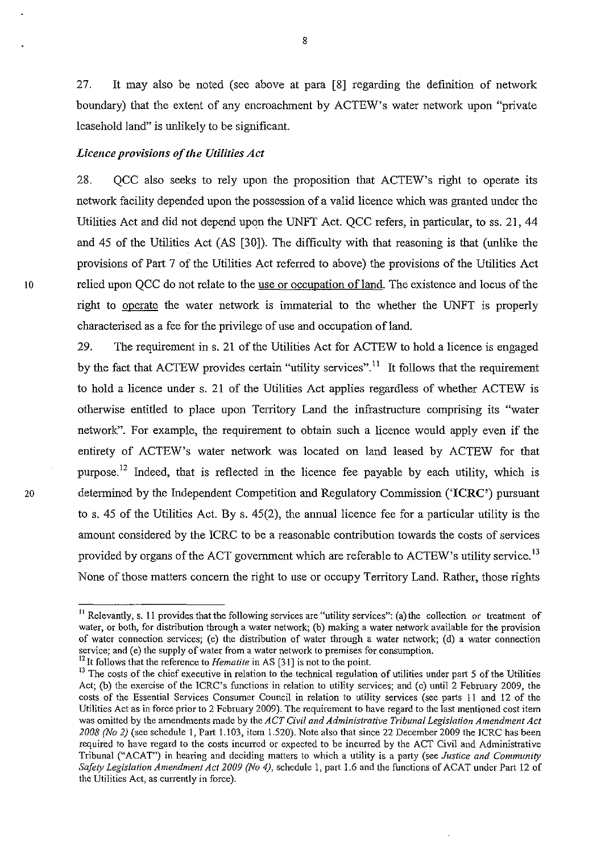27. It may also be noted (see above at para [8] regarding the definition of network boundary) that the extent of any encroaclnnent by ACTEW's water network upon "private leasehold land" is unlikely to be significant.

## *Licence provisions of the Utilities Act*

28. QCC also seeks to rely upon the proposition that ACTEW's right to operate its network facility depended upon the possession of a valid licence which was granted under the Utilities Act and did not depend upon the UNFT Act. QCC refers, in particular, to ss. 21, 44 and 45 of the Utilities Act (AS [30]). The difficulty with that reasoning is that (unlike the provisions of Part 7 of the Utilities Act referred to above) the provisions of the Utilities Act 10 relied upon QCC do not relate to the use or occupation of land. The existence and locus of the right to operate the water network is innnaterial to the whether the UNFT is properly characterised as a fee for the privilege of use and occupation of land.

29. The requirement in s. 21 of the Utilities Act for ACTEW to hold a licence is engaged by the fact that ACTEW provides certain "utility services".<sup>11</sup> It follows that the requirement to hold a licence under s. 21 of the Utilities Act applies regardless of whether ACTEW is otherwise entitled to place upon Territory Land the infrastructure comprising its "water network". For example, the requirement to obtain such a licence would apply even if the entirety of ACTEW's water network was located on land leased by ACTEW for that purpose.<sup>12</sup> Indeed, that is reflected in the licence fee payable by each utility, which is 20 determined by the Independent Competition and Regulatory Commission ('ICRC') pursuant to s. 45 of the Utilities Act. By s. 45(2), the annual licence fee for a particular utility is the amount considered by the ICRC to be a reasonable contribution towards the costs of services provided by organs of the ACT government which are referable to ACTEW's utility service.<sup>13</sup> None of those matters concern the right to use or occupy Territory Land. Rather, those rights

 $11$  Relevantly, s. 11 provides that the following services are "utility services": (a) the collection or treatment of water, or both, for distribution through a water network; (b) making a water network available for the provision **of water connection services; (c) the distribution of water through a water network; (d) a water connection**  service; and (e) the supply of water from a water network to premises for consumption.

<sup>&</sup>lt;sup>12</sup> It follows that the reference to *Hematite* in AS [31] is not to the point.

<sup>&</sup>lt;sup>13</sup> The costs of the chief executive in relation to the technical regulation of utilities under part 5 of the Utilities Act; (b) the exercise of the ICRC's functions in relation to utility services; and (c) until 2 February 2009, the costs of the Essential Services Consumer Council in relation to utility services (see parts 11 and 12 of the Utilities Act as in force prior to 2 February 2009). The requirement to have regard to the last mentioned cost item **was omitted by the amendments made by the** *ACT Civil and Administrative Tribunal Legislation Amendment Act 2008 (No* 2) (see schedule I, Part 1.103, item 1.520). Note also that since 22 December 2009 the ICRC has been **required to have regard to the costs incurred or expected to be incurred by the ACT Civil and Administrative**  Tribunal ("ACAT") in hearing and deciding matters to which a utility is a party (see *Justice and Community Safety Legis/ation Amendment Act 2009 (No* 4), schedule 1, part 1.6 and the functions of ACAT under Part 12 of the Utilities Act, as currently in force).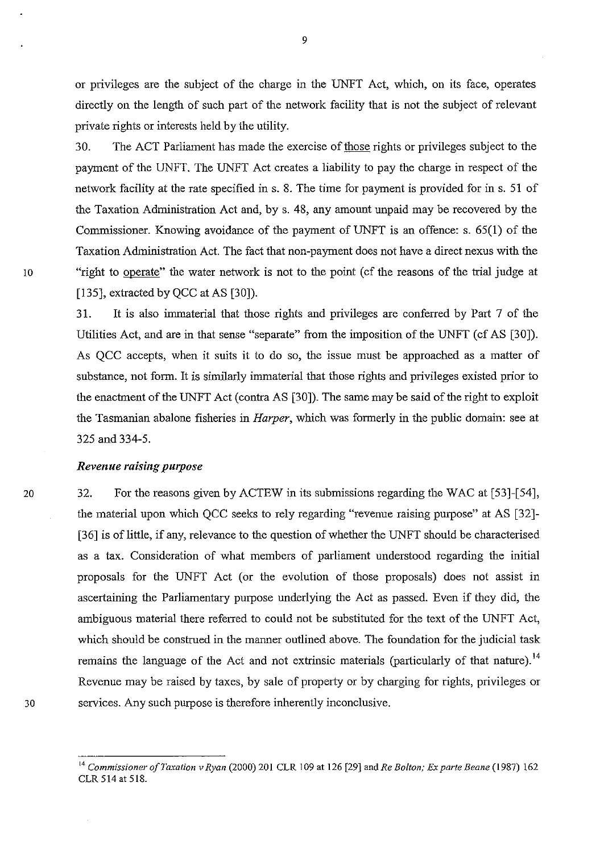or privileges are the subject of the charge in the UNFT Act, which, on its face, operates directly on the length of such part of the network facility that is not the subject of relevant private rights or interests held by the utility.

30. The ACT Parliament has made the exercise of those rights or privileges subject to the payment of the UNFT. The UNFT Act creates a liability to pay the charge in respect of the network facility at the rate specified in s. 8. The time for payment is provided for in s. 51 of the Taxation Administration Act and, by s. 48, any amount unpaid may be recovered by the Commissioner. Knowing avoidance of the payment of UNFT is an offence: s. 65(1) of the Taxation Administration Act. The fact that non-payment does not have a direct nexus with the 10 "right to operate" the water network is not to the point (cf the reasons of the trial judge at [135], extracted by QCC at AS [30]).

> 31. It is also immaterial that those rights and privileges are conferred by Part 7 of the Utilities Act, and are in that sense "separate" from the imposition of the UNFT (cf AS [30]). As QCC accepts, when it suits it to do so, the issue must be approached as a matter of substance, not form. It is similarly immaterial that those rights and privileges existed prior to the enactment of the UNFT Act (contra AS [30]). The same may be said of the right to exploit the Tasmanian abalone fisheries in *Harper,* which was formerly in the public domain: see at 325 and 334-5.

#### *Revenue raising purpose*

32. For the reasons given by ACTEW in its submissions regarding the WAC at [53]-[54], the material upon which QCC seeks to rely regarding "revenue raising purpose" at AS [32]- [36] is of little, if any, relevance to the question of whether the UNFT should be characterised as a tax. Consideration of what members of parliament understood regarding the initial proposals for the UNFT Act (or the evolution of those proposals) does not assist in ascertaining the Parliamentary purpose underlying the Act as passed. Even if they did, the ambiguous material there referred to could not be substituted for the text of the UNFT Act, which should be construed in the manner outlined above. The foundation for the judicial task remains the language of the Act and not extrinsic materials (particularly of that nature).<sup>14</sup> Revenue may be raised by taxes, by sale of property or by charging for rights, privileges or 30 services. Any such purpose is therefore inherently inconclusive.

<sup>14</sup>*Commissioner of Taxation v Ryan* (2000) 201 CLR 109 at 126 (29) and *Re Bolton; Ex parte Beane* (1987) 162 CLR 514 at 518.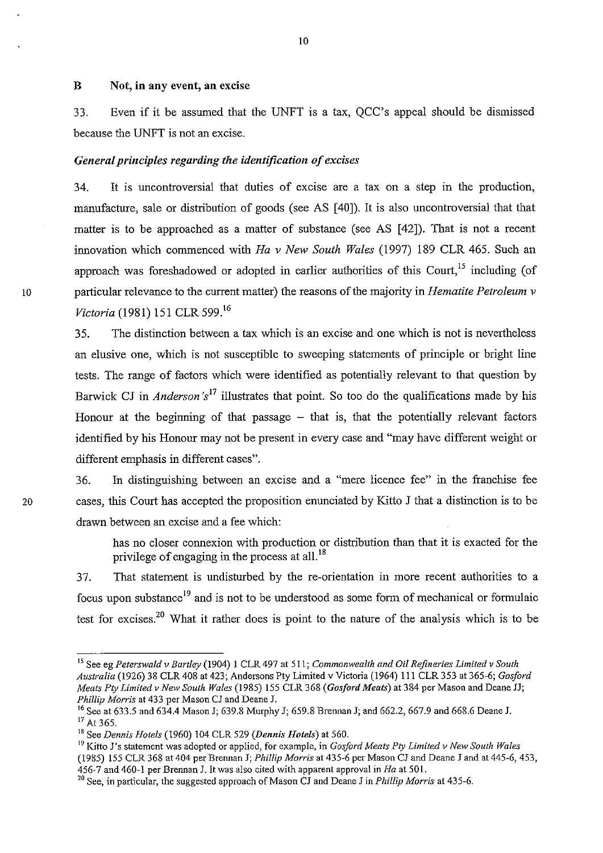## B Not, **in** any event, **an** excise

33. Even if it be assumed that the UNFT is a tax, QCC's appeal should be dismissed because the UNFT is not an excise.

#### *General principles regarding the identification of excises*

34. It is uncontroversial that duties of excise are a tax on a step in the production, manufacture, sale or distribution of goods (see AS [40]). It is also uncontroversial that that matter is to be approached as a matter of substance (see AS [42]). That is not a recent innovation which commenced with *Ha* v *New South Wales* (1997) 189 CLR 465. Such an approach was foreshadowed or adopted in earlier authorities of this Court,  $^{15}$  including (of ID particular relevance to the current matter) the reasons of the majority in *Hematite Petroleum* v *Victoria* (1981) 151 CLR 599. <sup>16</sup>

> 35. The distinction between a tax which is an excise and one which is not is nevertheless an elusive one, which is not susceptible to sweeping statements of principle or bright line tests. The range of factors which were identified as potentially relevant to that question by Barwick CJ in *Anderson's*<sup>17</sup> illustrates that point. So too do the qualifications made by his Honour at the beginning of that passage  $-$  that is, that the potentially relevant factors identified by his Honour may not be present in every case and "may have different weight or different emphasis in different cases".

36. In distinguishing between an excise and a "mere licence fee" in the franchise fee 20 cases, this Court has accepted the proposition enunciated by Kitto J that a distinction is to be drawn between an excise and a fee which:

> has no closer connexion with production or distribution than that it is exacted for the privilege of engaging in the process at all.<sup>18</sup>

37. That statement is undisturbed by the re-orientation in more recent authorities to a focus upon substance<sup>19</sup> and is not to be understood as some form of mechanical or formulaic test for excises.<sup>20</sup> What it rather does is point to the nature of the analysis which is to be

<sup>15</sup> See eg *Peterswald v Bartley* (1904) I CLR 497 at 511; *Commonwealth and Oil Refineries Limited v South Australia* (1926) 38 CLR 408 at 423; Andersons Pty Limited v Victoria (1964) III CLR 353 at 365-6; *Gosford Meats Ply Limited v New South Wales* (1985) 155 CLR 368 *(Gosford Meats)* at 384 per Mason and Deane JJ; *Phi/lip Morris* at 433 per Mason CJ and Deane J.

<sup>&</sup>lt;sup>16</sup> See at 633.5 and 634.4 Mason J; 639.8 Murphy J; 659.8 Brennan J; and 662.2, 667.9 and 668.6 Deane J. <sup>17</sup> At 365.

<sup>&</sup>lt;sup>18</sup> See *Dennis Hotels* (1960) 104 CLR 529 (*Dennis Hotels*) at 560.

<sup>&</sup>lt;sup>19</sup> Kitto J's statement was adopted or applied, for example, in *Gosford Meats Pty Limited v New South Wales* (1985) 155 CLR 368 at 404 per Brennan J; *Phillip Morris* at 435-6 per Mason CJ and Deane J and at 445-6,453, 456-7 and 460-1 per Brennan J. It was also cited with apparent approval in *Ha* at 501.

<sup>&</sup>lt;sup>20</sup> See, in particular, the suggested approach of Mason CJ and Deane J in *Phillip Morris* at 435-6.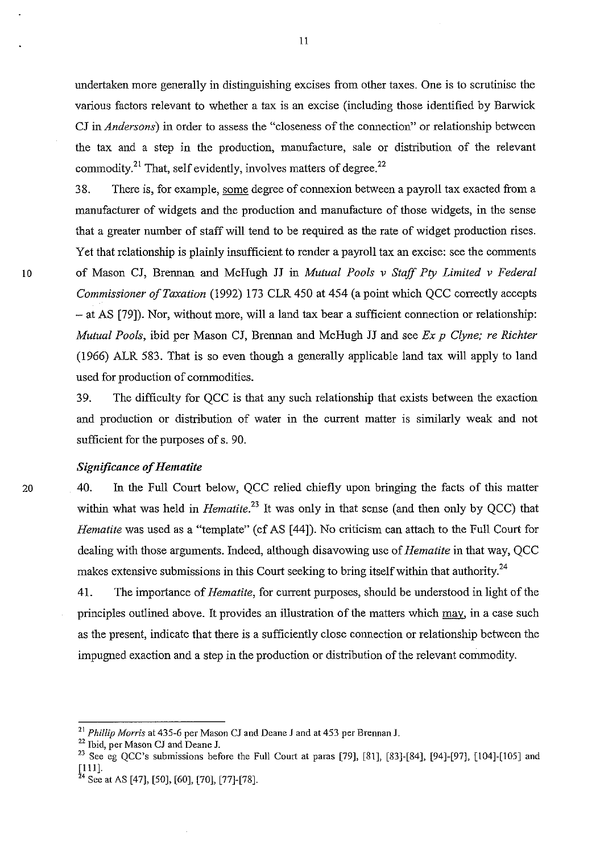undertaken more generally in distinguishing excises from other taxes. One is to scrutinise the various factors relevant to whether a tax is an excise (including those identified by Barwick CJ in *Andersons)* in order to assess the "closeness of the connection" or relationship between the tax and a step in the production, manufacture, sale or distribution of the relevant commodity.<sup>21</sup> That, self evidently, involves matters of degree.<sup>22</sup>

38. There is, for example, some degree of connexion between a payroll tax exacted from a manufacturer of widgets and the production and manufacture of those widgets, in the sense that a greater number of staff will tend to be required as the rate of widget production rises. Yet that relationship is plainly insufficient to render a payroll tax an excise: see the comments 10 of Mason CJ, Brennan and McHugh JJ in *Mutual Pools* v *Staff Pty Limited* v *Federal Commissioner of Taxation* (1992) 173 CLR 450 at 454 (a point which QCC correctly accepts - at AS [79]). Nor, without more, will a land tax bear a sufficient connection or relationship: *Mutual Pools, ibid per Mason CJ, Brennan and McHugh JJ and see Ex p Clyne; re Richter* (1966) ALR 583. That is so even though a generally applicable land tax will apply to land used for production of commodities.

> 39. The difficulty for QCC is that any such relationship that exists between the exaction and production or distribution of water in the current matter is similarly weak and not sufficient for the purposes of s. 90.

## *Significance of Hematite*

40. In the Full Court below, QCC relied chiefly upon bringing the facts of this matter within what was held in *Hematite*.<sup>23</sup>It was only in that sense (and then only by OCC) that *Hematite* was used as a "template" (cf AS [44]). No criticism can attach to the Full Court for dealing with those arguments. Indeed, although disavowing use of *Hematite* in that way, QCC makes extensive submissions in this Court seeking to bring itself within that authority.<sup>24</sup>

41. The importance of *Hematite*, for current purposes, should be understood in light of the principles outlined above. It provides an illustration of the matters which may, in a case such as the present, indicate that there is a sufficiently close connection or relationship between the impugned exaction and a step in the production or distribution of the relevant commodity.

<sup>21</sup>*Phi/lip Morris* at 435-6 per *Mason Cl* and Deane J and at 453 per Brennan *l.* 

<sup>22</sup> Ibid, per Mason *Cl* and Deane 1.

<sup>&</sup>lt;sup>23</sup> See eg QCC's submissions before the Full Court at paras [79], [81], [83]-[84], [94]-[97], [104]-[105] and  $[111]$ .

<sup>&</sup>lt;sup>24</sup> See at AS [47], [50], [60], [70], [77]-[78].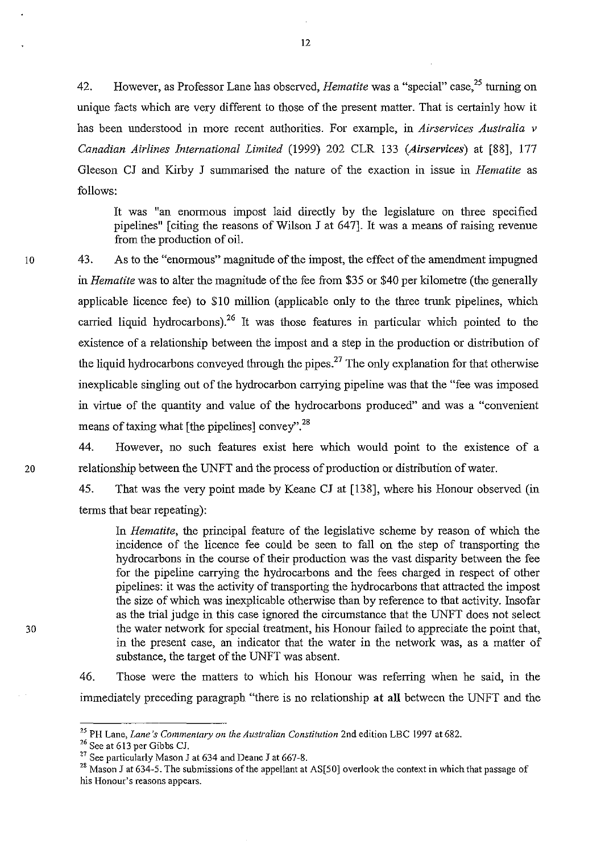42. However, as Professor Lane has observed, *Hematite* was a "special" case,25 turning on unique facts which are very different to those of the present matter. That is certainly how it has been understood in more recent authorities. For example, in *Airservices Australia* v *Canadian Airlines International Limited* (1999) 202 CLR 133 *(AiI'services)* at [88], 177 Gleeson CJ and Kirby J summarised the nature of the exaction in issue in *Hematite* as follows:

It was "an enormous impost laid directly by the legislature on three specified pipelines" [citing the reasons of Wilson J at 647]. It was a means of raising revenue from the production of oil.

43. As to the "enormous" magnitude of the impost, the effect of the amendment impugned in *Hematite* was to alter the magnitude of the fee from \$35 or \$40 per kilometre (the generally applicable licence fee) to \$10 million (applicable only to the three trunk pipelines, which carried liquid hydrocarbons).<sup>26</sup> It was those features in particular which pointed to the existence of a relationship between the impost and a step in the production or distribution of the liquid hydrocarbons conveyed through the pipes.<sup>27</sup> The only explanation for that otherwise inexplicable singling out of the hydrocarbon carrying pipeline was that the "fee was imposed in virtue of the quantity and value of the hydrocarbons produced" and was a "convenient means of taxing what [the pipelines] convey".28

44. However, no such features exist here which would point to the existence of a 20 relationship between the UNFT and the process of production or distribution of water.

> 45. That was the very point made by Keane CJ at [138], where his Honour observed (in terms that bear repeating):

In *Hematite,* the principal feature of the legislative scheme by reason of which the incidence of the licence fee could be seen to fall on the step of transporting the hydrocarbons in the course of their production was the vast disparity between the fee for the pipeline carrying the hydrocarbons and the fees charged in respect of other pipelines: it was the activity of transporting the hydrocarbons that attracted the impost the size of which was inexplicable otherwise than by reference to that activity. Insofar as the trial judge in this case ignored the circumstance that the UNFT does not select the water network for special treatment, his Honour failed to appreciate the point that, in the present case, an indicator that the water in the network was, as a matter of substance, the target of the UNFT was absent.

46. Those were the matters to which his Honour was referring when he said, in the immediately preceding paragraph "there is no relationship at all between the UNFT and the

30

<sup>&</sup>lt;sup>25</sup> PH Lane, *Lane's Commentary on the Australian Constitution* 2nd edition LBC 1997 at 682.

<sup>26</sup> See at 613 per Gibbs CJ.

<sup>&</sup>lt;sup>27</sup> See particularly Mason J at 634 and Deane J at 667-8.

<sup>&</sup>lt;sup>28</sup> Mason J at 634-5. The submissions of the appellant at AS[50] overlook the context in which that passage of **his Honour's reasons appears.**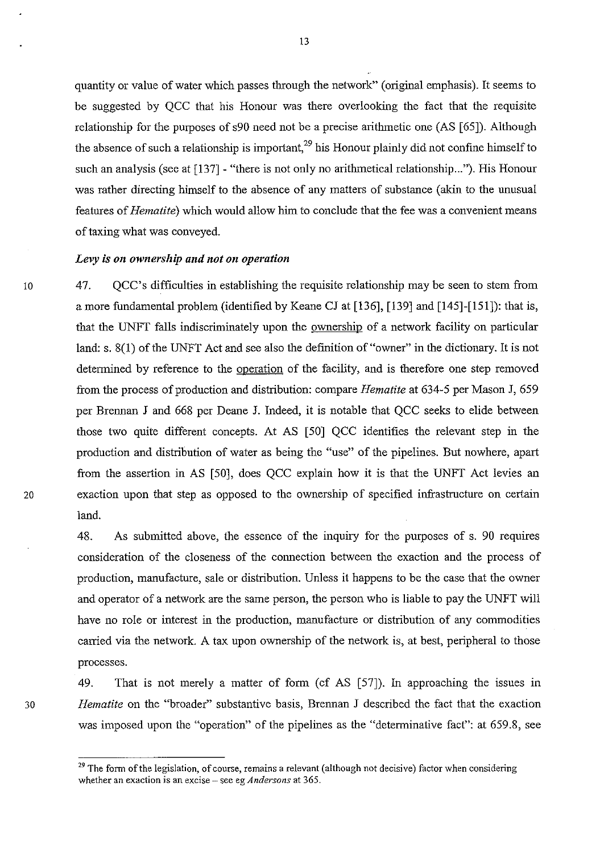quantity or value of water which passes through the network" (original emphasis). It seems to be suggested by QCC that his Honour was there overlooking the fact that the requisite relationship for the purposes of s90 need not be a precise arithmetic one (AS [65]). Although the absence of such a relationship is important,<sup>29</sup> his Honour plainly did not confine himself to such an analysis (see at [137] - "there is not only no arithmetical relationship..."). His Honour was rather directing himself to the absence of any matters of substance (akin to the unusual features of *Hematite)* which would allow him to conclude that the fee was a convenient means of taxing what was conveyed.

## Levy is on ownership and not on operation

47. QCC's difficulties in establishing the requisite relationship may be seen to stem from a more fundamental problem (identified by Keane CJ at [136], [139] and [145]-[151]): that is, that the UNFT falls indiscriminately upon the ownership of a network facility on particular land: s. 8(1) of the UNFT Act and see also the definition of "owner" in the dictionary. It is not determined by reference to the operation of the facility, and is therefore one step removed from the process of production and distribution: compare *Hematite* at 634-5 per Mason J, 659 per Brennan J and 668 per Deane J. Indeed, it is notable that QCC seeks to elide between those two quite different concepts. At AS [50] QCC identifies the relevant step in the production and distribution of water as being the "use" of the pipelines. But nowhere, apart from the assertion in AS [50], does QCC explain how it is that the UNFT Act levies an 20 exaction upon that step as opposed to the ownership of specified infrastructure on certain land.

> 48. As submitted above, the essence of the inquiry for the purposes of s. 90 requires consideration of the closeness of the connection between the exaction and the process of production, manufacture, sale or distribution. Unless it happens to be the case that the owner and operator of a network are the same person, the person who is liable to pay the UNFT will have no role or interest in the production, manufacture or distribution of any commodities carried via the network. A tax upon ownership of the network is, at best, peripheral to those processes.

49. That is not merely a matter of form (cf AS [57]). In approaching the issues in *30 Hematite* on the "broader" substantive basis, Brennan J described the fact that the exaction was imposed upon the "operation" of the pipelines as the "determinative fact": at 659.8, see

**<sup>29</sup> The form** of the **legislation, of course, remains a relevant (although not decisive) factor when considering whether an exaction is an excise - see eg** *Andersons* **at 365.**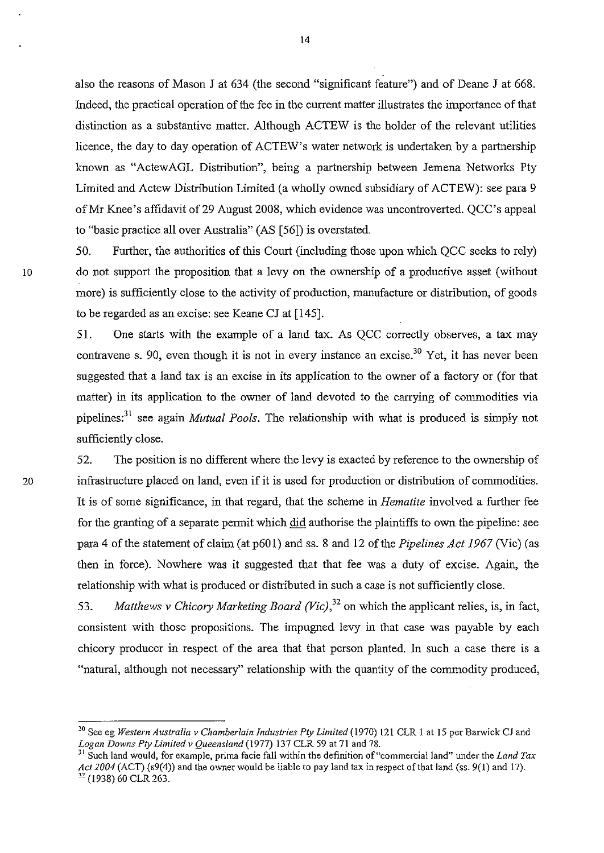also the reasons of Mason J at 634 (the second "significant feature") and of Deane J at 668. Indeed, the practical operation of the fee in the current matter illustrates the importance of that distinction as a substantive matter. Although ACTEW is the holder of the relevant utilities licence, the day to day operation of ACTEW's water network is undertaken by a partnership known as "ActewAGL Distribution", being a partnership between Jemena Networks Pty Limited and Actew Distribution Limited (a wholly owned subsidiary of ACTEW): see para 9 ofMr Knee's affidavit of29 August 2008, which evidence was uncontroverted. QCC's appeal to "basic practice all over Australia" (AS [56]) is overstated.

50. Further, the authorities of this Court (including those upon which QCC seeks to rely) 10 do not support the proposition that a levy on the ownership of a productive asset (without more) is sufficiently close to the activity of production, manufacture or distribution, of goods to be regarded as an excise: see Keane CJ at [145].

> 51. One starts with the example of a land tax. As QCC correctly observes, a tax may contravene s. 90, even though it is not in every instance an excise.<sup>30</sup> Yet, it has never been suggested that a land tax is an excise in its application to the owner of a factory or (for that matter) in its application to the owner of land devoted to the carrying of commodities via pipelines:3l see again *Mutual Pools.* The relationship with what is produced is simply not sufficiently close.

52. The position is no different where the levy is exacted by reference to the ownership of 20 infrastructure placed on land, even if it is used for production or distribution of commodities. It is of some significance, in that regard, that the scheme in *Hematite* involved a further fee for the granting of a separate permit which did authorise the plaintiffs to own the pipeline: see para 4 of the statement of claim (at p601) and ss. 8 and 12 of the *Pipelines Act 1967* (Vic) (as then in force). Nowhere was it suggested that that fee was a duty of excise. Again, the relationship with what is produced or distributed in such a case is not sufficiently close.

> *53. Matthews* v *Chicory Marketing Board (Vic)/2* on which the applicant relies, is, in fact, consistent with those propositions. The impugned levy in that case was payable by each chicory producer in respect of the area that that person planted. In such a case there is a "natural, although not necessary" relationship with the quantity of the commodity produced,

<sup>&</sup>lt;sup>30</sup> See eg *Western Australia v Chamberlain Industries Pty Limited* (1970) 121 CLR 1 at 15 per Barwick CJ and *Logan Downs* Ply *Limited v Queensland* (1977) 137 CLR 59 at 71 and 78.

<sup>31</sup> Such land would, for example, prima facie fall within the definition of "commercial land" under the *Land Tax Act 2004* (ACT) (s9(4)) and the owner would be liable to pay land tax in respect ofthat land (ss. 9(1) and 17). 32 (1938) 60 CLR 263.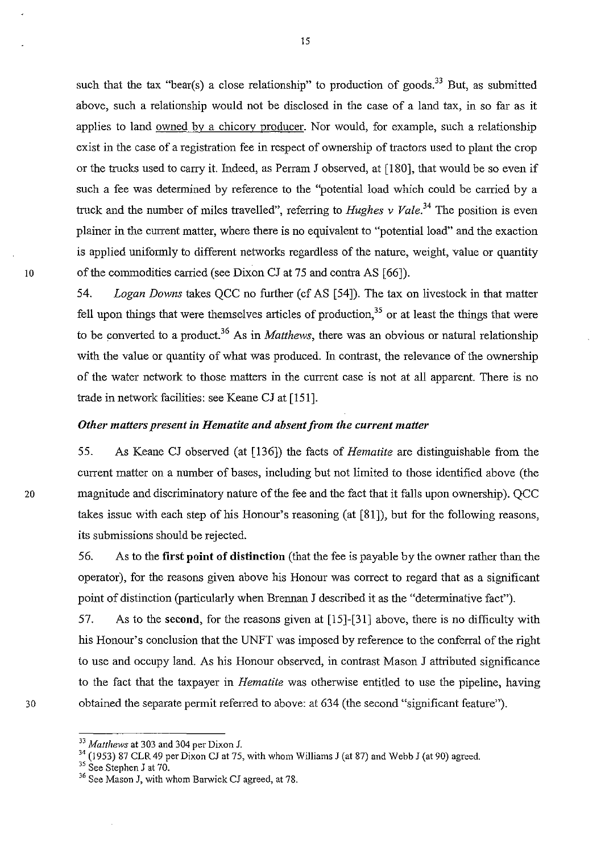such that the tax "bear(s) a close relationship" to production of goods.<sup>33</sup> But, as submitted above, such a relationship would not be disclosed in the case of a land tax, in so far as it applies to land owned by a chicory producer. Nor would, for example, such a relationship exist in the case of a registration fee in respect of ownership of tractors used to plant the crop or the trucks used to carry it. Indeed, as Perram J observed, at [180], that would be so even if such a fee was determined by reference to the "potential load which could be carned by a truck and the number of miles travelled", referring to *Hughes v Vale*.<sup>34</sup> The position is even plainer in the current matter, where there is no equivalent to "potential load" and the exaction is applied uniformly to different networks regardless of the nature, weight, value or quantity 10 of the commodities carried (see Dixon CJ at 75 and contra AS [66]).

> *54. Logan Downs* takes QCC no further (cf AS [54]). The tax on livestock in that matter fell upon things that were themselves articles of production,<sup>35</sup> or at least the things that were to be converted to a product.36 As in *Matthews,* there was an obvious or natural relationship with the value or quantity of what was produced. In contrast, the relevance of the ownership of the water network to those matters in the current case is not at all apparent. There is no trade in network facilities: see Keane CJ at [151].

## *Other matters present in Hematite and absent from the current matter*

55. As Keane CJ observed (at [136]) the facts of *Hematite* are distinguishable from the current matter on a number of bases, including but not limited to those identified above (the 20 magnitude and discriminatory nature of the fee and the fact that it falls upon ownership). QCC takes issue with each step of his Honour's reasoning (at [81]), but for the following reasons, its submissions should be rejected.

> 56. As to the first point of distinction (that the fee is payable by the owner rather than the operator), for the reasons given above his Honour was correct to regard that as a significant point of distinction (particularly when Brennan J described it as the "determinative fact").

57. As to the second, for the reasons given at [15]-[31] above, there is no difficulty with his Honour's conclusion that the UNFT was imposed by reference to the conferral of the right to use and occupy land. As his Honour observed, in contrast Mason J attributed significance to the fact that the taxpayer in *Hematite* was otherwise entitled to use the pipeline, having 30 obtained the separate permit referred to above: at 634 (the second "significant feature").

*<sup>33</sup> Matthews* at 303 and 304 per Dixon J.

<sup>&</sup>lt;sup>34</sup> (1953) 87 CLR 49 per Dixon CJ at 75, with whom Williams J (at 87) and Webb J (at 90) agreed.

 $35$  See Stephen J at 70.

<sup>36</sup> See Mason J, with whom Barwick CJ agreed, at 78.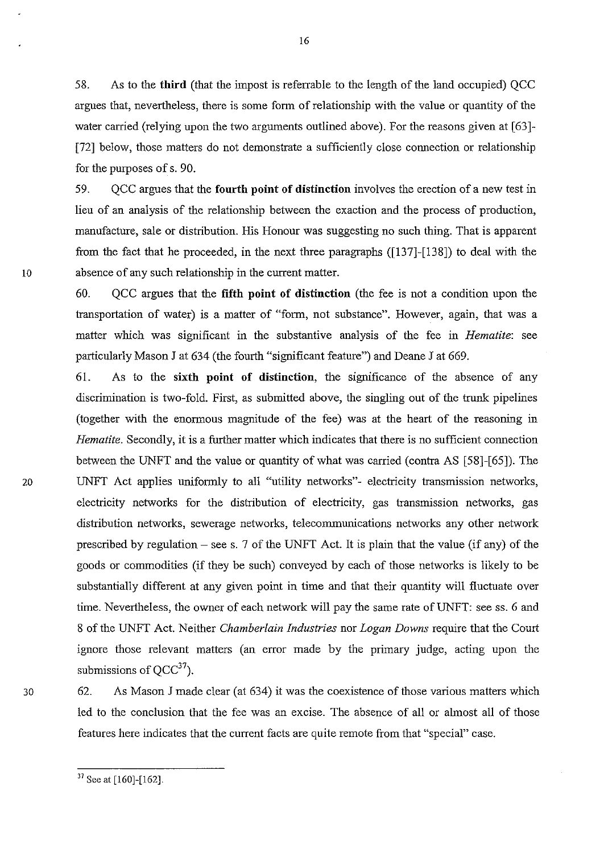58. As to the third (that the impost is referrable to the length of the land occupied) QCC argues that, nevertheless, there is some form of relationship with the value or quantity of the water carried (relying upon the two arguments outlined above). For the reasons given at [63]-[72] below, those matters do not demonstrate a sufficiently close connection or relationship for the purposes of s. 90.

59. OCC argues that the fourth point of distinction involves the erection of a new test in lieu of an analysis of the relationship between the exaction and the process of production, manufacture, sale or distribution. His Honour was suggesting no such thing. That is apparent from the fact that he proceeded, in the next three paragraphs ([137]-[138]) to deal with the 10 absence of any such relationship in the current matter.

> 60. QCC argues that the fifth point of distinction (the fee is not a condition upon the transportation of water) is a matter of "form, not substance". However, again, that was a matter which was significant in the substantive analysis of the fee in *Hematite:* see particularly Mason J at 634 (the fourth "significant feature") and Deane J at 669.

61. As to the sixth point of distinction, the significance of the absence of any discrimination is two-fold. First, as submitted above, the singling out of the trunk pipelines (together with the enormous magnitude of the fee) was at the heart of the reasoning in *Hematite.* Secondly, it is a further matter which indicates that there is no sufficient connection between the UNFT and the value or quantity of what was carried (contra AS [58]-[65]). The 20 UNFT Act applies uniformly to all "utility networks"- electricity transmission networks, electricity networks for the distribution of electricity, gas transmission networks, gas distribution networks, sewerage networks, telecommunications networks any other network prescribed by regulation – see s. 7 of the UNFT Act. It is plain that the value (if any) of the goods or commodities (if they be such) conveyed by each of those networks is likely to be substantially different at any given point in time and that their quantity will fluctuate over time. Nevertheless, the owner of each network will pay the same rate of UNFT: see ss. 6 and 8 of the UNFT Act. Neither *Chamberlain Industries* nor *Logan Downs* require that the Court ignore those relevant matters (an error made by the primary judge, acting upon the submissions of  $OCC^{37}$ ).

30 62. As Mason J made clear (at 634) it was the coexistence of those various matters which led to the conclusion that the fee was an excise. The absence of all or almost all of those features here indicates that the current facts are quite remote from that "special" case.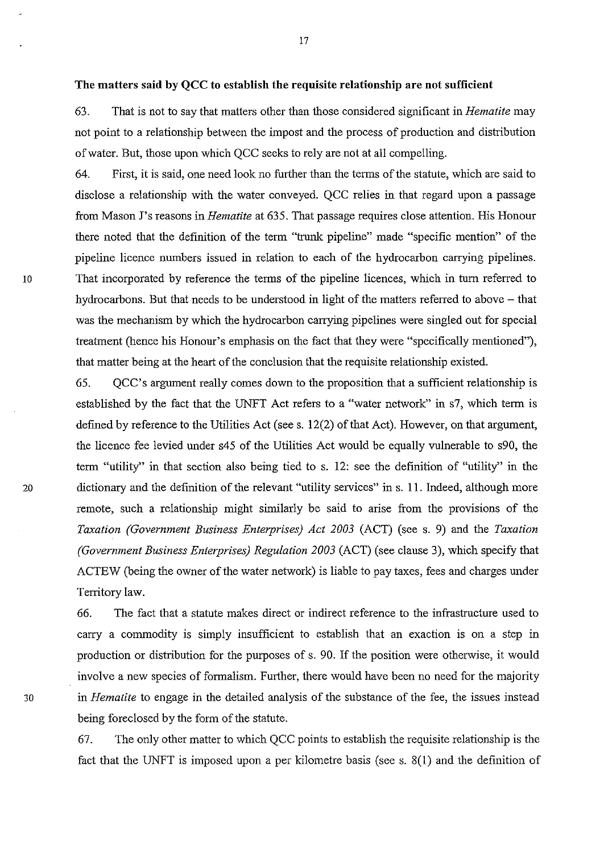**The matters said by QCC to establish the requisite relationship are not sufficient** 

63. That is not to say that matters other than those considered significant in *Hematite* may not point to a relationship between the impost and the process of production and distribution of water. But, those upon which QCC seeks to rely are not at all compelling.

64. First, it is said, one need look no further than the terms of the statute, which are said to disclose a relationship with the water conveyed. QCC relies in that regard upon a passage from Mason J's reasons in *Hematite* at 635. That passage requires close attention. His Honour there noted that the definition of the term "trunk pipeline" made "specific mention" of the pipeline licence numbers issued in relation to each of the hydrocarbon carrying pipelines. 10 That incorporated by reference the terms of the pipeline licences, which in turn referred to hydrocarbons. But that needs to be understood in light of the matters referred to above – that was the mechanism by which the hydrocarbon carrying pipelines were singled out for special treatment (hence his Honour's emphasis on the fact that they were "specifically mentioned"), that matter being at the heart of the conclusion that the requisite relationship existed.

65. QCC's argument really comes down to the proposition that a sufficient relationship is established by the fact that the UNFT Act refers to a "water network" in s7, which term is defmed by reference to the Utilities Act (see s. 12(2) of that Act). However, on that argument, the licence fee levied under s45 of the Utilities Act would be equally vulnerable to s90, the term "utility" in that section also being tied to s. 12: see the definition of "utility" in the 20 dictionary and the definition of the relevant "utility services" in s. 11. Indeed, although more remote, such a relationship might similarly be said to arise from the provisions of the *Taxation (Government Business Enterprises) Act 2003* (ACT) (see s. 9) and the *Taxation (Government Business Enterprises) Regulation 2003* (ACT) (see clause 3), which specify that ACTEW (being the owner of the water network) is liable to pay taxes, fees and charges under Territory law.

66. The fact that a statute makes direct or indirect reference to the infrastructure used to carry a commodity is simply insufficient to establish that an exaction is on a step in production or distribution for the purposes of s. 90. If the position were otherwise, it would involve a new species of formalism. Further, there would have been no need for the majority 30 in *Hematite* to engage in the detailed analysis of the substance of the fee, the issues instead being foreclosed by the form of the statute.

> 67. The only other matter to which QCC points to establish the requisite relationship is the fact that the UNFT is imposed upon a per kilometre basis (see s. 8(1) and the definition of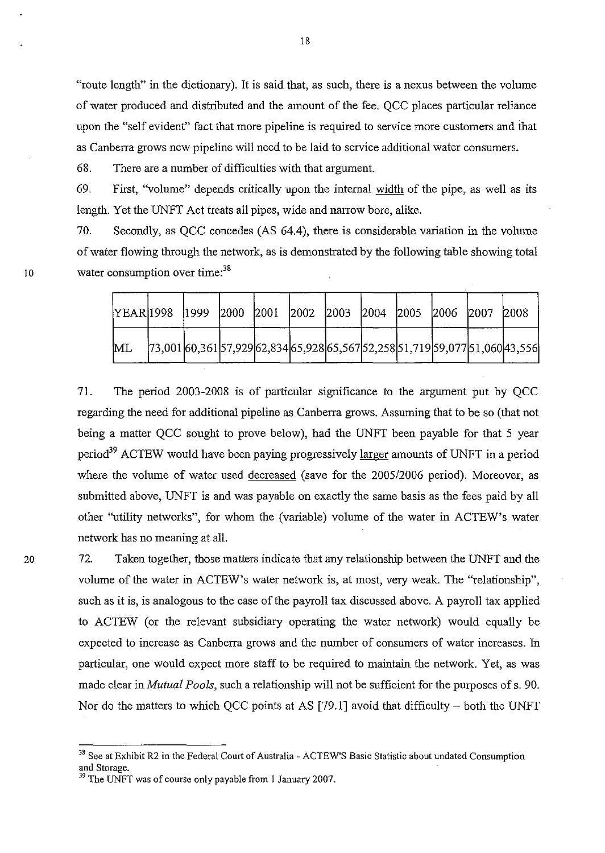"route length" in the dictionary). It is said that, as such, there is a nexus between the volume of water produced and distributed and the amount of the fee. QCC places particular reliance upon the "self evident" fact that more pipeline is required to service more customers and that as Canbena grows new pipeline will need to be laid to service additional water consumers.

68. There are a number of difficulties with that argument.

10

20

69. First, "volume" depends critically upon the internal width of the pipe, as well as its length. Yet the UNFT Act treats all pipes, wide and narrow bore, alike.

70. Secondly, as QCC concedes (AS 64.4), there is considerable variation in the volume of water flowing through the network, as is demonstrated by the following table showing total water consumption over time:<sup>38</sup>

| YEAR 1998  1999  2000  2001  2002  2003  2004  2005  2006  2007  2008 |                                                                                                      |  |  |  |  |  |
|-----------------------------------------------------------------------|------------------------------------------------------------------------------------------------------|--|--|--|--|--|
| ML                                                                    | $[73,001]$ 60,361 $[57,929]$ 62,834 $[65,928]$ 65,567 $[52,258]$ 51,719 $[59,077]$ 51,060 $[43,556]$ |  |  |  |  |  |

71. The period 2003-2008 is of particular significance to the argument put by QCC regarding the need for additional pipeline as Canbena grows. Assuming that to be so (that not being a matter QCC sought to prove below), had the UNFT been payable for that 5 year period<sup>39</sup> ACTEW would have been paying progressively larger amounts of UNFT in a period where the volume of water used decreased (save for the 2005/2006 period). Moreover, as submitted above, UNFT is and was payable on exactly the same basis as the fees paid by all other "utility networks", for whom the (variable) volume of the water in ACTEW's water network has no meaning at all.

72. Taken together, those matters indicate that any relationship between the UNFT and the volume of the water in ACTEW's water network is, at most, very weak. The "relationship", such as it is, is analogous to the case of the payroll tax discussed above. A payroll tax applied to ACTEW (or the relevant subsidiary operating the water network) would equally be expected to increase as Canberra grows and the number of consumers of water increases. In particular, one would expect more staff to be required to maintain the network. Yet, as was made clear in *Mutual Pools,* such a relationship will not be sufficient for the purposes of s. 90. Nor do the matters to which QCC points at AS [79.1] avoid that difficulty – both the UNFT

<sup>&</sup>lt;sup>38</sup> See at Exhibit R2 in the Federal Court of Australia - ACTEW'S Basic Statistic about undated Consumption and Storage.

<sup>&</sup>lt;sup>39</sup> The UNFT was of course only payable from 1 January 2007.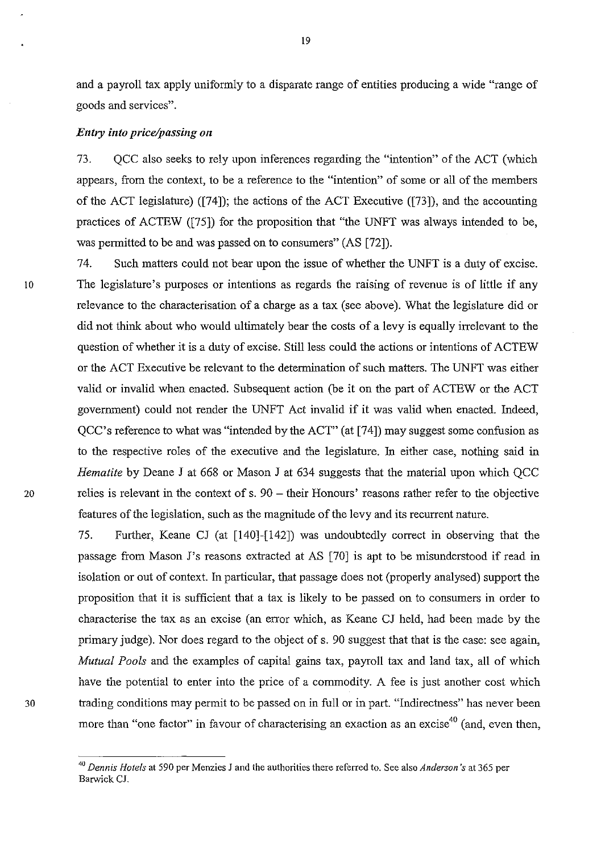and a payroll tax apply uniformly to a disparate range of entities producing a wide "range of goods and services".

## *Entry into price/passing on*

73. QCC also seeks to rely upon inferences regarding the "intention" of the ACT (which appears, from the context, to be a reference to the "intention" of some or all of the members of the ACT legislature) ([74]); the actions of the ACT Executive ([73]), and the accounting practices of ACTEW ([75]) for the proposition that "the UNFT was always intended to be, was permitted to be and was passed on to consumers" (AS [72]).

74. Such matters could not bear upon the issue of whether the UNFT is a duty of excise. 10 The legislature's purposes or intentions as regards the raising of revenue is of little if any relevance to the characterisation of a charge as a tax (see above). What the legislature did or did not think about who would ultimately bear the costs of a levy is equally irrelevant to the question of whether it is a duty of excise. Still less could the actions or intentions of ACTEW or the ACT Executive be relevant to the determination of such matters. The UNFT was either valid or invalid when enacted. Subsequent action (be it on the part of ACTEW or the ACT government) could not render the UNFT Act invalid if it was valid when enacted. Indeed, QCC's reference to what was "intended by the ACT" (at [74]) may suggest some confusion as to the respective roles of the executive and the legislature. In either case, nothing said in *Hematite* by Deane J at 668 or Mason J at 634 suggests that the material upon which QCC 20 relies is relevant in the context of s. 90 - their Honours' reasons rather refer to the objective features of the legislation, such as the magnitude of the levy and its recurrent nature.

75. Further, Keane CJ (at [140]-[142]) was undoubtedly correct in observing that the passage from Mason J's reasons extracted at AS [70] is apt to be misunderstood if read in isolation or out of context. In particular, that passage does not (properly analysed) support the proposition that it is sufficient that a tax is likely to be passed on to consumers in order to characterise the tax as an excise (an error which, as Keane CJ held, had been made by the primary judge). Nor does regard to the object of s. 90 suggest that that is the case: see again, *Mutual Pools* and the examples of capital gains tax, payroll tax and land tax, all of which have the potential to enter into the price of a commodity. A fee is just another cost which 30 trading conditions may permit to be passed on in full or in part. "Indirectness" has never been more than "one factor" in favour of characterising an exaction as an excise<sup>40</sup> (and, even then,

*<sup>40</sup> Dennis Hotels* at 590 per Menzies *1* and the authorities there referred to. See also *Anderson* 's at 365 per Barwick *Cl.*